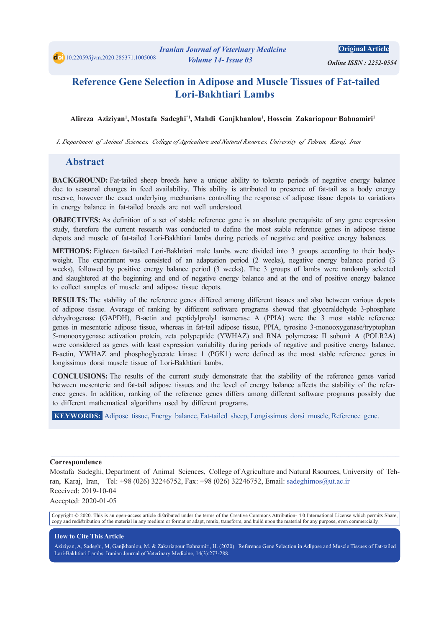*<i> Online ISSN: 2252-0554* 

# **Reference Gene Selection in Adipose and Muscle Tissues of Fat-tailed** Lori-Bakhtiari Lambs

Alireza Aziziyan<sup>ı</sup>, Mostafa Sadeghi<sup>\*ı</sup>, Mahdi Ganjkhanlou<sup>ı</sup>, Hossein Zakariapour Bahnamiri<sup>ı</sup>

*I. Department of Animal Sciences, College of Agriculture and Natural Rsources, University of Tehran, Karaj, Iran* 

#### **Abstract**

**BACKGROUND:** Fat-tailed sheep breeds have a unique ability to tolerate periods of negative energy balance due to seasonal changes in feed availability. This ability is attributed to presence of fat-tail as a body energy reserve, however the exact underlying mechanisms controlling the response of adipose tissue depots to variations in energy balance in fat-tailed breeds are not well understood.

**OBJECTIVES:** As definition of a set of stable reference gene is an absolute prerequisite of any gene expression study, therefore the current research was conducted to define the most stable reference genes in adipose tissue depots and muscle of fat-tailed Lori-Bakhtiari-lambs during periods of negative and positive energy balances.

weight. The experiment was consisted of an adaptation period (2 weeks), negative energy balance period (3 **METHODS:** Eighteen fat-tailed Lori-Bakhtiari-male lambs were divided into 3 groups according to their bodyweeks), followed by positive energy balance period (3 weeks). The 3 groups of lambs were randomly selected and slaughtered at the beginning and end of negative energy balance and at the end of positive energy balance to collect samples of muscle and adipose tissue depots.

RESULTS: The stability of the reference genes differed among different tissues and also between various depots of adipose tissue. Average of ranking by different software programs showed that glyceraldehyde 3-phosphate dehydrogenase (GAPDH), B-actin and peptidylprolyl isomerase A (PPIA) were the 3 most stable reference genes in mesenteric adipose tissue, whereas in fat-tail adipose tissue, PPIA, tyrosine 3-monooxygenase/tryptophan 5-monooxygenase activation protein, zeta polypeptide (YWHAZ) and RNA polymerase II subunit A (POLR2A) were considered as genes with least expression variability during periods of negative and positive energy balance. B-actin, YWHAZ and phosphoglycerate kinase 1 (PGK1) were defined as the most stable reference genes in longissimus dorsi muscle tissue of Lori-Bakhtiari lambs.

**CONCLUSIONS:** The results of the current study demonstrate that the stability of the reference genes varied ence genes. In addition, ranking of the reference genes differs among different software programs possibly due between mesenteric and fat-tail adipose tissues and the level of energy balance affects the stability of the referto different mathematical algorithms used by different programs.

**KEYWORDS:** Adipose tissue, Energy balance, Fat-tailed sheep, Longissimus dorsi muscle, Reference gene.

#### **Correspondence**

Mostafa Sadeghi, Department of Animal Sciences, College of Agriculture and Natural Rsources, University of Teh-<br>ran, Karaj, Iran, Tel: +98 (026) 32246752, Fax: +98 (026) 32246752, Email: sadeghimos@ut.ac.ir Received: 2019-10-04 Accepted: 2020-01-05

 $\_$  , and the state of the state of the state of the state of the state of the state of the state of the state of the state of the state of the state of the state of the state of the state of the state of the state of the

Copyright © 2020. This is an open-access article distributed under the terms of the Creative Commons Attribution-4.0 International License which permits Share, copy and redistribution of the material in any medium or format or adapt, remix, transform, and build upon the material for any purpose, even commercially.

#### **How to Cite This Article**

Aziziyan, A, Sadeghi, M, Ganjkhanlou, M. & Zakariapour Bahnamiri, H. (2020). Reference Gene Selection in Adipose and Muscle Tissues of Fat-tailed Lori-Bakhtiari Lambs. Iranian Journal of Veterinary Medicine, 14(3):273-288.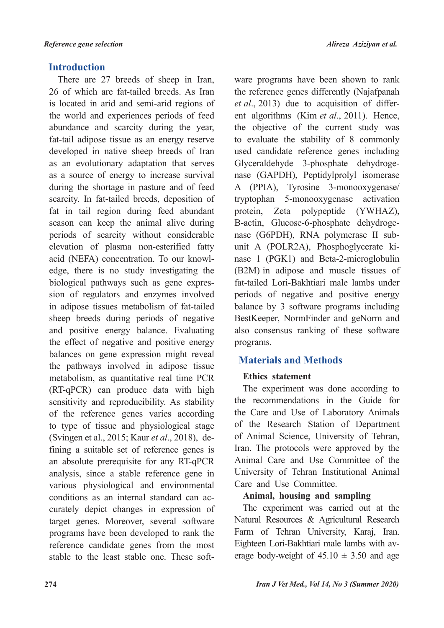## **Introduction**

There are 27 breeds of sheep in Iran, 26 of which are fat-tailed breeds. As Iran is located in arid and semi-arid regions of the world and experiences periods of feed abundance and scarcity during the year. fat-tail adipose tissue as an energy reserve developed in native sheep breeds of Iran as an evolutionary adaptation that serves as a source of energy to increase survival during the shortage in pasture and of feed scarcity. In fat-tailed breeds, deposition of fat in tail region during feed abundant season can keep the animal alive during periods of scarcity without considerable elevation of plasma non-esterified fatty edge, there is no study investigating the acid (NEFA) concentration. To our knowlsion of regulators and enzymes involved biological pathways such as gene expresin adipose tissues metabolism of fat-tailed sheep breeds during periods of negative and positive energy balance. Evaluating the effect of negative and positive energy balances on gene expression might reveal the pathways involved in adipose tissue metabolism, as quantitative real time PCR  $(RT-qPCR)$  can produce data with high sensitivity and reproducibility. As stability of the reference genes varies according to type of tissue and physiological stage fining a suitable set of reference genes is (Svingen et al., 2015; Kaur et al., 2018), dean absolute prerequisite for any RT-qPCR analysis, since a stable reference gene in various physiological and environmental curately depict changes in expression of conditions as an internal standard can actarget genes. Moreover, several software programs have been developed to rank the reference candidate genes from the most stable to the least stable one. These soft-

ware programs have been shown to rank the reference genes differently (Najafpanah ent algorithms (Kim et al., 2011). Hence, et al., 2013) due to acquisition of differthe objective of the current study was to evaluate the stability of 8 commonly used candidate reference genes including nase (GAPDH), Peptidylprolyl isomerase Glyceraldehyde 3-phosphate dehydroge-A (PPIA), Tyrosine 3-monooxygenase/ tryptophan 5-monooxygenase activation protein, Zeta polypeptide (YWHAZ), nase  $1$  (PGK1) and Beta-2-microglobulin unit A (POLR2A), Phosphoglycerate kinase (G6PDH), RNA polymerase II sub-B-actin, Glucose-6-phosphate dehydroge- $(B2M)$  in adipose and muscle tissues of fat-tailed Lori-Bakhtiari male lambs under periods of negative and positive energy balance by  $3$  software programs including BestKeeper, NormFinder and geNorm and also consensus ranking of these software programs.

## **Methods and Materials**

## **Ethics** statement

The experiment was done according to the recommendations in the Guide for the Care and Use of Laboratory Animals of the Research Station of Department of Animal Science, University of Tehran, Iran. The protocols were approved by the Animal Care and Use Committee of the University of Tehran Institutional Animal Care and Use Committee.

## **Animal, housing and sampling**

The experiment was carried out at the Natural Resources & Agricultural Research Farm of Tehran University, Karaj, Iran. erage body-weight of  $45.10 \pm 3.50$  and age Eighteen Lori-Bakhtiari male lambs with av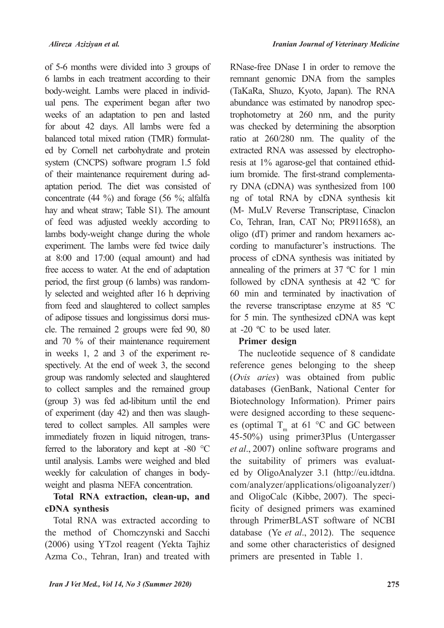of 5-6 months were divided into 3 groups of 6 lambs in each treatment according to their ual pens. The experiment began after two body-weight. Lambs were placed in individweeks of an adaptation to pen and lasted for about 42 days. All lambs were fed a ed by Cornell net carbohydrate and protein balanced total mixed ration (TMR) formulatsystem (CNCPS) software program 1.5 fold of their maintenance requirement during ad-<br>aptation period. The diet was consisted of concentrate  $(44 \%)$  and forage  $(56 \%)$ ; alfalfa hay and wheat straw; Table S1). The amount of feed was adjusted weekly according to lambs body-weight change during the whole experiment. The lambs were fed twice daily at  $8:00$  and  $17:00$  (equal amount) and had free access to water. At the end of adaptation ly selected and weighted after 16 h depriving period, the first group (6 lambs) was randomfrom feed and slaughtered to collect samples cle. The remained 2 groups were fed 90, 80 of adipose tissues and longissimus dorsi musand  $70\%$  of their maintenance requirement spectively. At the end of week 3, the second in weeks  $1, 2$  and  $3$  of the experiment regroup was randomly selected and slaughtered to collect samples and the remained group  $(group 3)$  was fed ad-libitum until the end tered to collect samples. All samples were of experiment (day  $42$ ) and then was slaughferred to the laboratory and kept at -80  $^{\circ}$ C immediately frozen in liquid nitrogen, transuntil analysis. Lambs were weighed and bled weekly for calculation of changes in body-<br>weight and plasma NEFA concentration.

## Total RNA extraction, clean-up, and **synthesis cDNA**

Total RNA was extracted according to the method of Chomczynski and Sacchi  $(2006)$  using YTzol reagent (Yekta Tajhiz Azma Co., Tehran, Iran) and treated with RNase-free DNase I in order to remove the remnant genomic DNA from the samples (TaKaRa, Shuzo, Kyoto, Japan). The RNA trophotometry at  $260$  nm, and the purity abundance was estimated by nanodrop specwas checked by determining the absorption ratio at  $260/280$  nm. The quality of the ry DNA (cDNA) was synthesized from 100 ium bromide. The first-strand complementaresis at 1% agarose-gel that contained ethidextracted RNA was assessed by electrophong of total RNA by cDNA synthesis kit (M- MuLV Reverse Transcriptase, Cinaclon Co, Tehran, Iran, CAT No; PR911658), an cording to manufacturer's instructions. The oligo (dT) primer and random hexamers acprocess of cDNA synthesis was initiated by annealing of the primers at  $37 \text{ °C}$  for 1 min followed by cDNA synthesis at 42  $^{\circ}$ C for  $60$  min and terminated by inactivation of the reverse transcriptase enzyme at  $85 \text{ °C}$ for 5 min. The synthesized cDNA was kept at  $-20$  °C to be used later.

## Primer design

The nucleotide sequence of 8 candidate reference genes belonging to the sheep (Ovis aries) was obtained from public databases (GenBank, National Center for Biotechnology Information). Primer pairs es (optimal  $T_m$  at 61 °C and GC between were designed according to these sequenc-45-50%) using primer3Plus (Untergasser et al., 2007) online software programs and ed by OligoAnalyzer 3.1 (http://eu.idtdna. the suitability of primers was evaluatcom/analyzer/applications/oligoanalyzer/) ficity of designed primers was examined and OligoCalc (Kibbe, 2007). The specithrough PrimerBLAST software of NCBI database (Ye *et al.*, 2012). The sequence and some other characteristics of designed primers are presented in Table 1.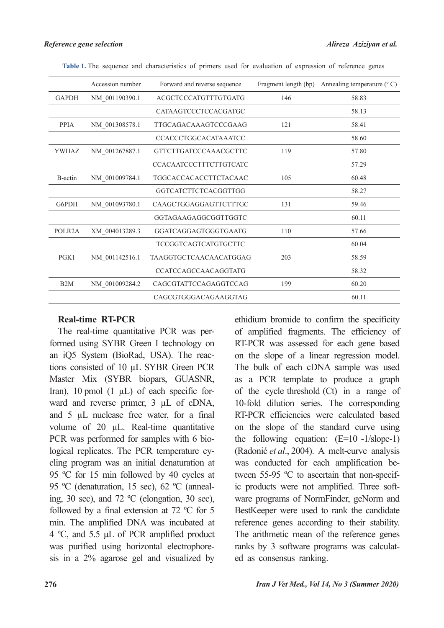|                     | Accession number | Forward and reverse sequence |     | Fragment length (bp) Annealing temperature (°C) |
|---------------------|------------------|------------------------------|-----|-------------------------------------------------|
| <b>GAPDH</b>        | NM 001190390.1   | ACGCTCCCATGTTTGTGATG         | 146 | 58.83                                           |
|                     |                  | CATAAGTCCCTCCACGATGC         |     | 58.13                                           |
| <b>PPIA</b>         | NM_001308578.1   | <b>TTGCAGACAAAGTCCCGAAG</b>  | 121 | 58.41                                           |
|                     |                  | <b>CCACCCTGGCACATAAATCC</b>  |     | 58.60                                           |
| <b>YWHAZ</b>        | NM_001267887.1   | <b>GTTCTTGATCCCAAACGCTTC</b> | 119 | 57.80                                           |
|                     |                  | CCACAATCCCTTTCTTGTCATC       |     | 57.29                                           |
| B-actin             | NM 001009784.1   | TGGCACCACACCTTCTACAAC        | 105 | 60.48                                           |
|                     |                  | GGTCATCTTCTCACGGTTGG         |     | 58.27                                           |
| G6PDH               | NM_001093780.1   | CAAGCTGGAGGAGTTCTTTGC        | 131 | 59.46                                           |
|                     |                  | GGTAGAAGAGGCGGTTGGTC         |     | 60.11                                           |
| POLR <sub>2</sub> A | XM_004013289.3   | GGATCAGGAGTGGGTGAATG         | 110 | 57.66                                           |
|                     |                  | <b>TCCGGTCAGTCATGTGCTTC</b>  |     | 60.04                                           |
| PGK1                | NM 001142516.1   | TAAGGTGCTCAACAACATGGAG       | 203 | 58.59                                           |
|                     |                  | <b>CCATCCAGCCAACAGGTATG</b>  |     | 58.32                                           |
| B2M                 | NM 001009284.2   | CAGCGTATTCCAGAGGTCCAG        | 199 | 60.20                                           |
|                     |                  | CAGCGTGGGACAGAAGGTAG         |     | 60.11                                           |

Table 1. The sequence and characteristics of primers used for evaluation of expression of reference genes

#### **Real-time RT-PCR**

formed using SYBR Green I technology on The real-time quantitative PCR was pertions consisted of 10 µL SYBR Green PCR an iO5 System (BioRad, USA). The reac-Master Mix (SYBR biopars, GUASNR, Iran), 10 pmol (1  $\mu$ L) of each specific for-<br>ward- and reverse primer, 3  $\mu$ L of cDNA, and  $5 \mu L$  nuclease free water, for a final volume of 20  $\mu$ L. Real-time quantitative cling program was an initial denaturation at logical replicates. The PCR temperature cy-PCR was performed for samples with 6 bio-95 °C for 15 min followed by 40 cycles at ing, 30 sec), and 72  $^{\circ}$ C (elongation, 30 sec), 95 °C (denaturation, 15 sec), 62 °C (annealfollowed by a final extension at  $72 \text{ °C}$  for 5 min. The amplified DNA was incubated at 4 °C, and 5.5  $\mu$ L of PCR amplified product sis in a  $2\%$  agarose gel and visualized by was purified using horizontal electrophoreethidium bromide to confirm the specificity of amplified fragments. The efficiency of RT-PCR was assessed for each gene based on the slope of a linear regression model. The bulk of each cDNA sample was used as a PCR template to produce a graph of the cycle threshold  $(Ct)$  in a range of 10-fold dilution series. The corresponding RT-PCR efficiencies were calculated based on the slope of the standard curve using the following equation:  $(E=10 - 1/\text{slope}-1)$ (Radonić et al., 2004). A melt-curve analysis ware programs of NormFinder, geNorm and ic products were not amplified. Three softtween 55-95  $\degree$ C to ascertain that non-specifwas conducted for each amplification be-BestKeeper were used to rank the candidate reference genes according to their stability. The arithmetic mean of the reference genes ranks by 3 software programs was calculated as consensus ranking.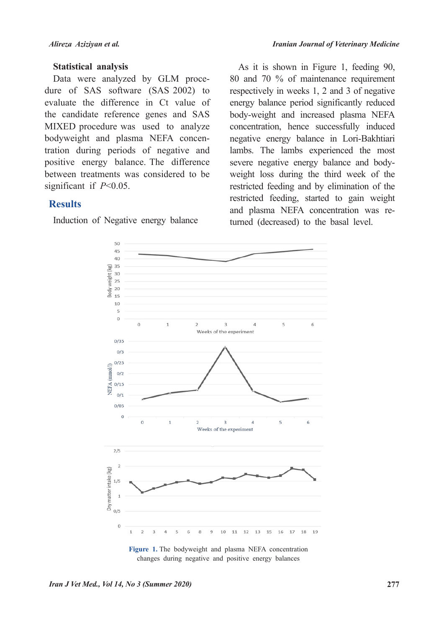#### **Statistical analysis**

dure of SAS software  $(SAS 2002)$  to Data were analyzed by GLM proceevaluate the difference in Ct value of the candidate reference genes and SAS MIXED procedure was used to analyze tration during periods of negative and bodyweight and plasma NEFA concenpositive energy balance. The difference between treatments was considered to be significant if  $P<0.05$ .

## **Results**

Induction of Negative energy balance

As it is shown in Figure 1, feeding 90,  $80$  and  $70\%$  of maintenance requirement respectively in weeks  $1, 2$  and  $3$  of negative energy balance period significantly reduced body-weight and increased plasma NEFA concentration, hence successfully induced negative energy balance in Lori-Bakhtiari lambs. The lambs experienced the most weight loss during the third week of the severe negative energy balance and bodyrestricted feeding and by elimination of the restricted feeding, started to gain weight and plasma NEFA concentration was returned (decreased) to the basal level.



Figure 1. The bodyweight and plasma NEFA concentration changes during negative and positive energy balances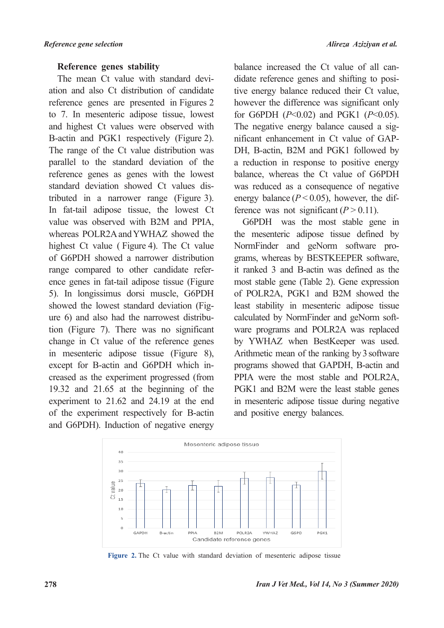#### **Reference genes stability**

ation and also Ct distribution of candidate The mean Ct value with standard devireference genes are presented in Figures 2 to 7. In mesenteric adipose tissue, lowest and highest Ct values were observed with B-actin and PGK1 respectively (Figure 2). The range of the Ct value distribution was parallel to the standard deviation of the reference genes as genes with the lowest tributed in a narrower range (Figure 3). standard deviation showed Ct values dis-In fat-tail adipose tissue, the lowest Ct value was observed with B2M and PPIA. whereas POLR2A and YWHAZ showed the highest Ct value (Figure 4). The Ct value of G6PDH showed a narrower distribution ence genes in fat-tail adipose tissue (Figure range compared to other candidate refer-5). In longissimus dorsi muscle, G6PDH Figure 6) and also had the narrowest distribution (Figure 7). There was no significant showed the lowest standard deviation (Figure 6) and also had the narrowest distribuchange in Ct value of the reference genes in mesenteric adipose tissue (Figure 8), creased as the experiment progressed (from except for B-actin and G6PDH which in-19.32 and  $21.65$  at the beginning of the experiment to  $21.62$  and  $24.19$  at the end of the experiment respectively for B-actin and G6PDH). Induction of negative energy

tive energy balance reduced their Ct value, didate reference genes and shifting to posibalance increased the Ct value of all canhowever the difference was significant only for G6PDH  $(P<0.02)$  and PGK1  $(P<0.05)$ . DH, B-actin, B2M and PGK1 followed by nificant enhancement in  $Ct$  value of  $GAP$ -The negative energy balance caused a siga reduction in response to positive energy balance, whereas the Ct value of G6PDH was reduced as a consequence of negative energy balance ( $P < 0.05$ ), however, the difference was not significant ( $P > 0.11$ ).

G6PDH was the most stable gene in the mesenteric adipose tissue defined by grams, whereas by BESTKEEPER software, NormFinder and geNorm software proit ranked 3 and B-actin was defined as the most stable gene (Table 2). Gene expression of POLR2A, PGK1 and B2M showed the least stability in mesenteric adipose tissue ware programs and POLR2A was replaced calculated by NormFinder and geNorm softby YWHAZ when BestKeeper was used. Arithmetic mean of the ranking by 3 software programs showed that GAPDH, B-actin and PPIA were the most stable and POLR2A, PGK1 and B2M were the least stable genes in mesenteric adipose tissue during negative and positive energy balances.



Figure 2. The Ct value with standard deviation of mesenteric adipose tissue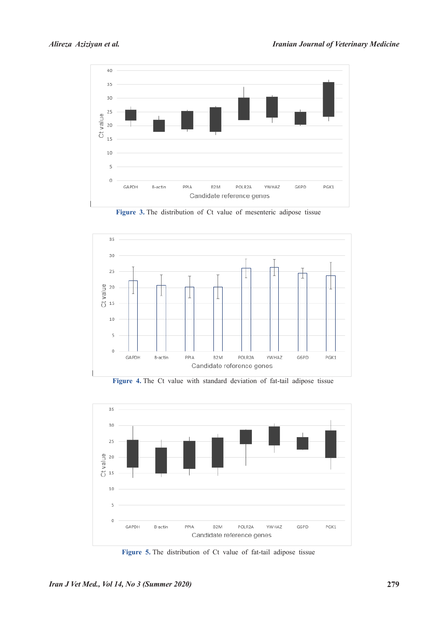

Figure 3. The distribution of Ct value of mesenteric adipose tissue



Figure 4. The Ct value with standard deviation of fat-tail adipose tissue



Figure 5. The distribution of Ct value of fat-tail adipose tissue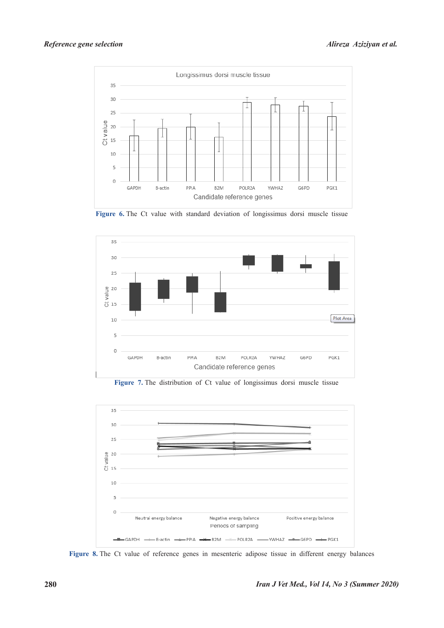

Figure 6. The Ct value with standard deviation of longissimus dorsi muscle tissue



Figure 7. The distribution of Ct value of longissimus dorsi muscle tissue



Figure 8. The Ct value of reference genes in mesenteric adipose tissue in different energy balances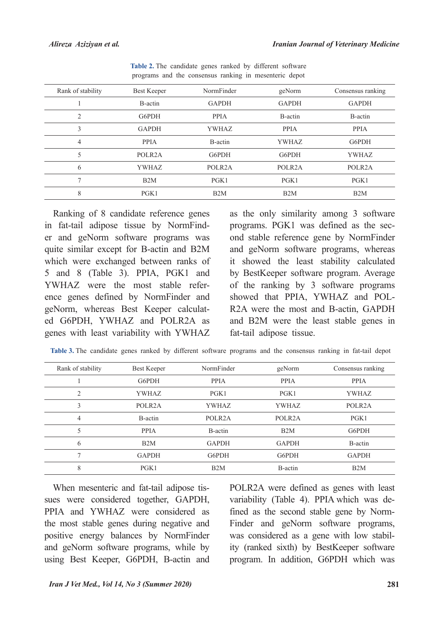| Rank of stability | Best Keeper         | NormFinder          | geNorm              | Consensus ranking   |
|-------------------|---------------------|---------------------|---------------------|---------------------|
|                   | B-actin             | <b>GAPDH</b>        | <b>GAPDH</b>        | <b>GAPDH</b>        |
| 2                 | G6PDH               | <b>PPIA</b>         | B-actin             | B-actin             |
| 3                 | <b>GAPDH</b>        | <b>YWHAZ</b>        | <b>PPIA</b>         | <b>PPIA</b>         |
| 4                 | <b>PPIA</b>         | B-actin             | <b>YWHAZ</b>        | G6PDH               |
| 5                 | POLR <sub>2</sub> A | G6PDH               | G6PDH               | <b>YWHAZ</b>        |
| 6                 | <b>YWHAZ</b>        | POLR <sub>2</sub> A | POLR <sub>2</sub> A | POLR <sub>2</sub> A |
| 7                 | B2M                 | PGK1                | PGK1                | PGK1                |
| 8                 | PGK1                | B2M                 | B2M                 | B2M                 |

Table 2. The candidate genes ranked by different software programs and the consensus ranking in mesenteric depot

Ranking of 8 candidate reference genes er and geNorm software programs was in fat-tail adipose tissue by NormFindquite similar except for B-actin and B2M which were exchanged between ranks of 5 and 8 (Table 3). PPIA, PGK1 and ence genes defined by NormFinder and YWHAZ were the most stable refered G6PDH, YWHAZ and POLR2A as geNorm, whereas Best Keeper calculatgenes with least variability with YWHAZ

as the only similarity among 3 software ond stable reference gene by NormFinder programs. PGK1 was defined as the secand geNorm software programs, whereas it showed the least stability calculated by BestKeeper software program. Average of the ranking by  $3$  software programs R2A were the most and B-actin, GAPDH showed that PPIA. YWHAZ and POLand B2M were the least stable genes in fat-tail adipose tissue.

| Rank of stability | Best Keeper         | NormFinder          | geNorm              | Consensus ranking   |
|-------------------|---------------------|---------------------|---------------------|---------------------|
|                   | G6PDH               | <b>PPIA</b>         | <b>PPIA</b>         | <b>PPIA</b>         |
| $\mathfrak{D}$    | <b>YWHAZ</b>        | $P$ GK1             | $P$ GK1             | <b>YWHAZ</b>        |
| 3                 | POLR <sub>2</sub> A | <b>YWHAZ</b>        | <b>YWHAZ</b>        | POLR <sub>2</sub> A |
| 4                 | B-actin             | POLR <sub>2</sub> A | POLR <sub>2</sub> A | PGK1                |
|                   | <b>PPIA</b>         | B-actin             | B2M                 | G6PDH               |
| 6                 | B <sub>2</sub> M    | <b>GAPDH</b>        | <b>GAPDH</b>        | B-actin             |
| 7                 | <b>GAPDH</b>        | G6PDH               | G6PDH               | <b>GAPDH</b>        |
| 8                 | PGK1                | B2M                 | B-actin             | B2M                 |

Table 3. The candidate genes ranked by different software programs and the consensus ranking in fat-tail depot

sues were considered together, GAPDH, When mesenteric and fat-tail adipose tis-PPIA and YWHAZ were considered as the most stable genes during negative and positive energy balances by NormFinder and geNorm software programs, while by using Best Keeper, G6PDH, B-actin and POLR2A were defined as genes with least Finder and geNorm software programs, fined as the second stable gene by Normvariability (Table 4). PPIA which was dewas considered as a gene with low stability (ranked sixth) by BestKeeper software program. In addition, G6PDH which was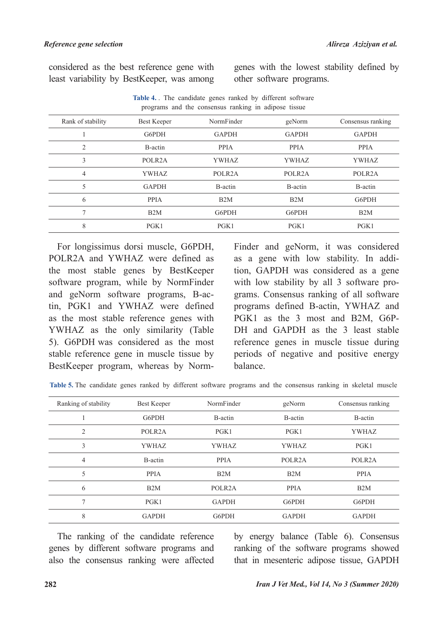considered as the best reference gene with least variability by BestKeeper, was among genes with the lowest stability defined by other software programs.

| programs and the consensus ranking in adipose tissue |                     |                     |                     |                     |  |  |  |
|------------------------------------------------------|---------------------|---------------------|---------------------|---------------------|--|--|--|
| Rank of stability                                    | Best Keeper         | NormFinder          | geNorm              | Consensus ranking   |  |  |  |
|                                                      | G6PDH               | <b>GAPDH</b>        | <b>GAPDH</b>        | <b>GAPDH</b>        |  |  |  |
| 2                                                    | B-actin             | <b>PPIA</b>         | <b>PPIA</b>         | <b>PPIA</b>         |  |  |  |
| 3                                                    | POLR <sub>2</sub> A | YWHAZ               | <b>YWHAZ</b>        | <b>YWHAZ</b>        |  |  |  |
| 4                                                    | <b>YWHAZ</b>        | POLR <sub>2</sub> A | POLR <sub>2</sub> A | POLR <sub>2</sub> A |  |  |  |
| 5                                                    | <b>GAPDH</b>        | B-actin             | B-actin             | B-actin             |  |  |  |
| 6                                                    | <b>PPIA</b>         | B2M                 | B2M                 | G6PDH               |  |  |  |
|                                                      | B2M                 | G6PDH               | G6PDH               | B2M                 |  |  |  |
| 8                                                    | PGK1                | PGK1                | PGK1                | PGK1                |  |  |  |

Table 4. The candidate genes ranked by different software

For longissimus dorsi muscle, G6PDH, POLR2A and YWHAZ were defined as the most stable genes by BestKeeper software program, while by NormFinder and geNorm software programs, B-ac-<br>tin, PGK1 and YWHAZ were defined as the most stable reference genes with YWHAZ as the only similarity (Table 5). G6PDH was considered as the most stable reference gene in muscle tissue by BestKeeper program, whereas by Norm-

Finder and geNorm, it was considered tion, GAPDH was considered as a gene as a gene with low stability. In addigrams. Consensus ranking of all software with low stability by all  $3$  software proprograms defined B-actin, YWHAZ and DH and GAPDH as the 3 least stable PGK1 as the 3 most and B2M, G6Preference genes in muscle tissue during periods of negative and positive energy .balance

|  |  |  |  |  | Table 5. The candidate genes ranked by different software programs and the consensus ranking in skeletal muscle |  |  |
|--|--|--|--|--|-----------------------------------------------------------------------------------------------------------------|--|--|
|  |  |  |  |  |                                                                                                                 |  |  |

| Ranking of stability | Best Keeper         | NormFinder          | geNorm              | Consensus ranking   |
|----------------------|---------------------|---------------------|---------------------|---------------------|
|                      | G6PDH               | B-actin             | B-actin             | B-actin             |
| $\overline{2}$       | POLR <sub>2</sub> A | PGK1                | PGK1                | <b>YWHAZ</b>        |
| 3                    | <b>YWHAZ</b>        | <b>YWHAZ</b>        | <b>YWHAZ</b>        | PGK1                |
| 4                    | B-actin             | <b>PPIA</b>         | POLR <sub>2</sub> A | POLR <sub>2</sub> A |
| 5                    | <b>PPIA</b>         | B2M                 | B2M                 | <b>PPIA</b>         |
| 6                    | B2M                 | POLR <sub>2</sub> A | <b>PPIA</b>         | B2M                 |
| $\overline{ }$       | PGK1                | <b>GAPDH</b>        | G6PDH               | G6PDH               |
| 8                    | <b>GAPDH</b>        | G6PDH               | <b>GAPDH</b>        | <b>GAPDH</b>        |

The ranking of the candidate reference genes by different software programs and also the consensus ranking were affected by energy balance (Table 6). Consensus ranking of the software programs showed that in mesenteric adipose tissue, GAPDH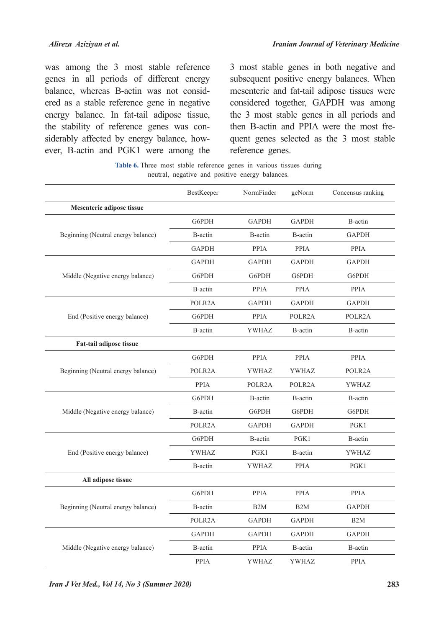was among the 3 most stable reference genes in all periods of different energy ered as a stable reference gene in negative balance, whereas B-actin was not considenergy balance. In fat-tail adipose tissue, ever, B-actin and PGK1 were among the siderably affected by energy balance, howthe stability of reference genes was con3 most stable genes in both negative and subsequent positive energy balances. When mesenteric and fat-tail adipose tissues were considered together, GAPDH was among the 3 most stable genes in all periods and quent genes selected as the 3 most stable then B-actin and PPIA were the most frereference genes.

Table 6. Three most stable reference genes in various tissues during neutral, negative and positive energy balances.

|                                    | BestKeeper      | NormFinder          | geNorm              | Concensus ranking |
|------------------------------------|-----------------|---------------------|---------------------|-------------------|
| Mesenteric adipose tissue          |                 |                     |                     |                   |
|                                    | G6PDH           | <b>GAPDH</b>        | <b>GAPDH</b>        | B-actin           |
| Beginning (Neutral energy balance) | B-actin         | B-actin             | B-actin             | <b>GAPDH</b>      |
|                                    | <b>GAPDH</b>    | <b>PPIA</b>         | <b>PPIA</b>         | <b>PPIA</b>       |
|                                    | <b>GAPDH</b>    | <b>GAPDH</b>        | <b>GAPDH</b>        | <b>GAPDH</b>      |
| Middle (Negative energy balance)   | G6PDH           | G6PDH               | G6PDH               | G6PDH             |
|                                    | B-actin         | PPIA                | PPIA                | PPIA              |
|                                    | POLR2A          | <b>GAPDH</b>        | <b>GAPDH</b>        | <b>GAPDH</b>      |
| End (Positive energy balance)      | G6PDH           | <b>PPIA</b>         | POLR2A              | POLR2A            |
|                                    | B-actin         | <b>YWHAZ</b>        | B-actin             | B-actin           |
| Fat-tail adipose tissue            |                 |                     |                     |                   |
|                                    | G6PDH           | <b>PPIA</b>         | <b>PPIA</b>         | <b>PPIA</b>       |
| Beginning (Neutral energy balance) | POLR2A          | <b>YWHAZ</b>        | YWHAZ               | POLR2A            |
|                                    | <b>PPIA</b>     | POLR <sub>2</sub> A | POLR <sub>2</sub> A | <b>YWHAZ</b>      |
|                                    | G6PDH           | B-actin             | B-actin             | B-actin           |
| Middle (Negative energy balance)   | B-actin         | G6PDH               | G6PDH               | G6PDH             |
|                                    | POLR2A          | <b>GAPDH</b>        | <b>GAPDH</b>        | PGK1              |
|                                    | G6PDH           | B-actin             | PGK1                | B-actin           |
| End (Positive energy balance)      | YWHAZ           | PGK1                | B-actin             | YWHAZ             |
|                                    | B-actin         | <b>YWHAZ</b>        | <b>PPIA</b>         | PGK1              |
| All adipose tissue                 |                 |                     |                     |                   |
|                                    | G6PDH           | <b>PPIA</b>         | <b>PPIA</b>         | <b>PPIA</b>       |
| Beginning (Neutral energy balance) | <b>B</b> -actin | B <sub>2</sub> M    | B <sub>2</sub> M    | <b>GAPDH</b>      |
|                                    | POLR2A          | <b>GAPDH</b>        | <b>GAPDH</b>        | B <sub>2</sub> M  |
|                                    | <b>GAPDH</b>    | <b>GAPDH</b>        | <b>GAPDH</b>        | <b>GAPDH</b>      |
| Middle (Negative energy balance)   | B-actin         | PPIA                | B-actin             | B-actin           |
|                                    | <b>PPIA</b>     | YWHAZ               | YWHAZ               | PPIA              |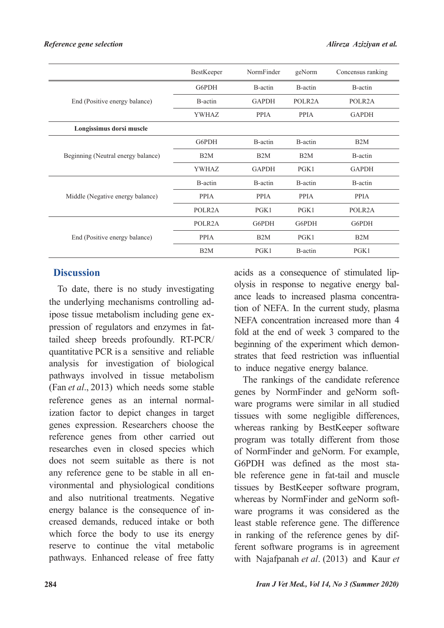|                                    | BestKeeper          | NormFinder   | geNorm              | Concensus ranking   |
|------------------------------------|---------------------|--------------|---------------------|---------------------|
|                                    | G6PDH               | B-actin      | B-actin             | B-actin             |
| End (Positive energy balance)      | B-actin             | <b>GAPDH</b> | POLR <sub>2</sub> A | POLR <sub>2</sub> A |
|                                    | YWHAZ               | <b>PPIA</b>  | <b>PPIA</b>         | <b>GAPDH</b>        |
| Longissimus dorsi muscle           |                     |              |                     |                     |
|                                    | G6PDH               | B-actin      | B-actin             | B <sub>2</sub> M    |
| Beginning (Neutral energy balance) | B2M                 | B2M          | B2M                 | B-actin             |
|                                    | <b>YWHAZ</b>        | <b>GAPDH</b> | PGK1                | <b>GAPDH</b>        |
|                                    | B-actin             | B-actin      | B-actin             | B-actin             |
| Middle (Negative energy balance)   | <b>PPIA</b>         | <b>PPIA</b>  | <b>PPIA</b>         | <b>PPIA</b>         |
|                                    | POLR <sub>2</sub> A | PGK1         | PGK1                | POLR <sub>2</sub> A |
|                                    | POLR <sub>2</sub> A | G6PDH        | G6PDH               | G6PDH               |
| End (Positive energy balance)      | <b>PPIA</b>         | B2M          | PGK1                | B2M                 |
|                                    | B2M                 | PGK1         | B-actin             | PGK1                |

## **Discussion**

To date, there is no study investigating tailed sheep breeds profoundly. RT-PCR/ pression of regulators and enzymes in fatipose tissue metabolism including gene exthe underlying mechanisms controlling adquantitative PCR is a sensitive and reliable analysis for investigation of biological pathways involved in tissue metabolism (Fan *et al.*, 2013) which needs some stable ization factor to depict changes in target reference genes as an internal normalgenes expression. Researchers choose the reference genes from other carried out researches even in closed species which does not seem suitable as there is not vironmental and physiological conditions any reference gene to be stable in all enand also nutritional treatments. Negative creased demands, reduced intake or both energy balance is the consequence of inwhich force the body to use its energy reserve to continue the vital metabolic pathways. Enhanced release of free fatty

tion of NEFA. In the current study, plasma ance leads to increased plasma concentraolysis in response to negative energy balacids as a consequence of stimulated lip-NEFA concentration increased more than 4 fold at the end of week 3 compared to the strates that feed restriction was influential beginning of the experiment which demonto induce negative energy balance.

The rankings of the candidate reference ware programs were similar in all studied genes by NormFinder and geNorm softtissues with some negligible differences, whereas ranking by BestKeeper software program was totally different from those of NormFinder and geNorm. For example, ble reference gene in fat-tail and muscle G6PDH was defined as the most statissues by BestKeeper software program, ware programs it was considered as the whereas by NormFinder and geNorm softleast stable reference gene. The difference ferent software programs is in agreement in ranking of the reference genes by difwith Najafpanah et al. (2013) and Kaur et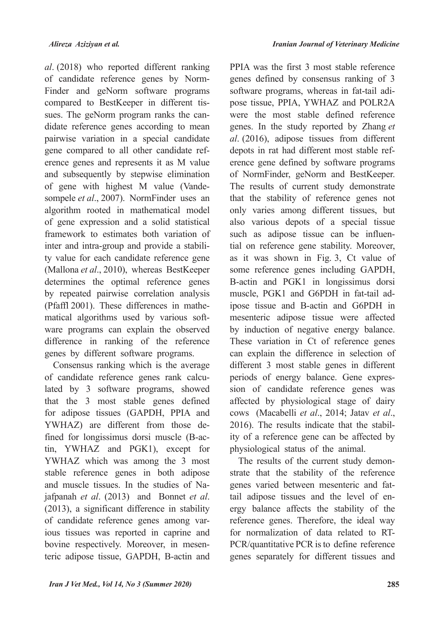al. (2018) who reported different ranking Finder and geNorm software programs of candidate reference genes by Normdidate reference genes according to mean sues. The geNorm program ranks the cancompared to BestKeeper in different tispairwise variation in a special candidate erence genes and represents it as M value gene compared to all other candidate refand subsequently by stepwise elimination sompele et al., 2007). NormFinder uses an of gene with highest M value (Vandealgorithm rooted in mathematical model of gene expression and a solid statistical framework to estimates both variation of ty value for each candidate reference gene inter and intra-group and provide a stabili-(Mallona et al., 2010), whereas BestKeeper determines the optimal reference genes by repeated pairwise correlation analysis ware programs can explain the observed matical algorithms used by various soft-(Pfaffl  $2001$ ). These differences in mathedifference in ranking of the reference genes by different software programs.

Consensus ranking which is the average lated by 3 software programs, showed of candidate reference genes rank calcuthat the 3 most stable genes defined for adipose tissues (GAPDH, PPIA and tin, YWHAZ and PGK1), except for fined for longissimus dorsi muscle (B-ac-YWHAZ) are different from those de-YWHAZ which was among the 3 most stable reference genes in both adipose jafpanah et al. (2013) and Bonnet et al. and muscle tissues. In the studies of Na- $(2013)$ , a significant difference in stability ious tissues was reported in caprine and of candidate reference genes among varteric adipose tissue, GAPDH, B-actin and bovine respectively. Moreover, in mesen-

PPIA was the first 3 most stable reference genes defined by consensus ranking of 3 pose tissue, PPIA, YWHAZ and POLR2A software programs, whereas in fat-tail adiwere the most stable defined reference genes. In the study reported by Zhang et al. (2016), adipose tissues from different erence gene defined by software programs depots in rat had different most stable refof NormFinder, geNorm and BestKeeper. The results of current study demonstrate that the stability of reference genes not only varies among different tissues, but also various depots of a special tissue tial on reference gene stability. Moreover, such as adipose tissue can be influenas it was shown in Fig. 3, Ct value of some reference genes including GAPDH, B-actin and PGK1 in longissimus dorsi ipose tissue and B-actin and G6PDH in muscle, PGK1 and G6PDH in fat-tail admesenteric adipose tissue were affected by induction of negative energy balance. These variation in Ct of reference genes can explain the difference in selection of different 3 most stable genes in different sion of candidate reference genes was periods of energy balance. Gene expresaffected by physiological stage of dairy cows (Macabelli et al., 2014; Jatav et al., ity of a reference gene can be affected by 2016). The results indicate that the stabilphysiological status of the animal.

strate that the stability of the reference The results of the current study demonergy balance affects the stability of the tail adipose tissues and the level of engenes varied between mesenteric and fatreference genes. Therefore, the ideal way PCR/quantitative PCR is to define reference for normalization of data related to RTgenes separately for different tissues and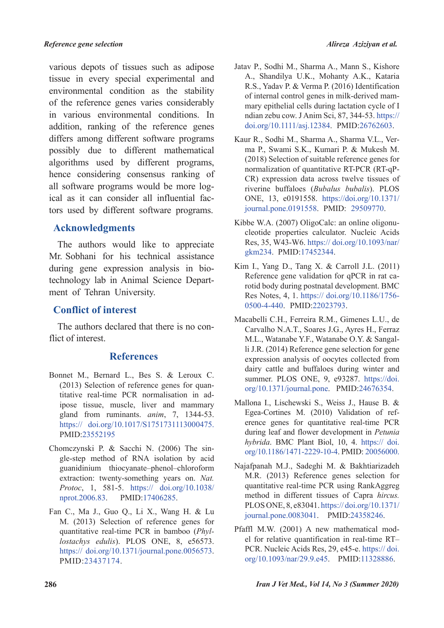various depots of tissues such as adipose tissue in every special experimental and environmental condition as the stability of the reference genes varies considerably in various environmental conditions. In addition, ranking of the reference genes differs among different software programs possibly due to different mathematical algorithms used by different programs, hence considering consensus ranking of tors used by different software programs. ical as it can consider all influential facall software programs would be more log-

## **Acknowledgments**

The authors would like to appreciate Mr. Sobhani for his technical assistance technology lab in Animal Science Depart-<br>ment of Tehran University. during gene expression analysis in bio-<br>technology-lab in Animal Science Departduring gene expression analysis in bio-

## **Conflict of interest**

The authors declared that there is no con-<br>flict of interest.

## **References**

- Bonnet M., Bernard L., Bes S. & Leroux C. ipose tissue, muscle, liver and mammary titative real-time PCR normalisation in ad- $(2013)$  Selection of reference genes for quangland from ruminants. *anim*, 7, 1344-53. https:// doi.org/10.1017/S1751731113000475. PMID:23552195
- Chomczynski P. & Sacchi N. (2006) The single-step method of RNA isolation by acid guanidinium thiocyanate-phenol-chloroform extraction: twenty-something years on. Nat. *Protoc*, 1, 581-5. https:// doi.org/10.1038/ nprot.2006.83. PMID:17406285.
- Fan C., Ma J., Guo Q., Li X., Wang H. & Lu M. (2013) Selection of reference genes for lostachys edulis). PLOS ONE, 8, e56573. quantitative real-time PCR in bamboo (Phylhttps:// $\delta$ oi.org/10.1371/journal.pone.0056573. PMID:23437174.
- Jatav P., Sodhi M., Sharma A., Mann S., Kishore A., Shandilya U.K., Mohanty A.K., Kataria R.S., Yadav P. & Verma P. (2016) Identification mary epithelial cells during lactation cycle of I of internal control genes in milk-derived mamndian zebu cow. J Anim Sci, 87, 344-53. https:// doi.org/10.1111/asj.12384. PMID:26762603.
- ma P., Swami S.K., Kumari P. & Mukesh M. Kaur R., Sodhi M., Sharma A., Sharma V.L., Ver- $(2018)$  Selection of suitable reference genes for CR) expression data across twelve tissues of normalization of quantitative RT-PCR (RT-qPriverine buffaloes (Bubalus bubalis). PLOS ONE, 13, e0191558. https://doi.org/10.1371/ journal.pone.0191558. PMID: 29509770.
- cleotide properties calculator. Nucleic Acids Kibbe W.A. (2007) OligoCalc: an online oligonu-Res. 35, W43-W6. https://doi.org/10.1093/nar/ gkm234. PMID:17452344.
- Kim I., Yang D., Tang X. & Carroll J.L. (2011) rotid body during postnatal development. BMC Reference gene validation for qPCR in rat ca-Res Notes, 4, 1. https:// doi.org/10.1186/1756-0500-4-440. PMID:22023793.
- Macabelli C.H., Ferreira R.M., Gimenes L.U., de Carvalho N.A.T., Soares J.G., Ayres H., Ferraz li J.R.  $(2014)$  Reference gene selection for gene M.L., Watanabe Y.F., Watanabe O.Y. & Sangalexpression analysis of oocytes collected from dairy cattle and buffaloes during winter and summer. PLOS ONE, 9, e93287. https://doi. org/10.1371/journal.pone. PMID:24676354.
- Mallona I., Lischewski S., Weiss J., Hause B. & erence genes for quantitative real-time PCR Egea-Cortines M.  $(2010)$  Validation of refduring leaf and flower development in *Petunia* hybrida. BMC Plant Biol, 10, 4. https:// doi. org/10.1186/1471-2229-10-4. PMID: 20056000.
- Najafpanah M.J., Sadeghi M. & Bakhtiarizadeh M.R. (2013) Reference genes selection for quantitative real-time-PCR using RankAggreg method in different tissues of Capra hircus. PLOS ONE, 8, e83041. https://doi.org/10.1371/ journal.pone.0083041. PMID:24358246.
- el for relative quantification in real-time RT-Pfaffl M.W.  $(2001)$  A new mathematical mod-PCR. Nucleic Acids Res, 29, e45-e. https://doi. org/10.1093/nar/29.9.e45. PMID:11328886.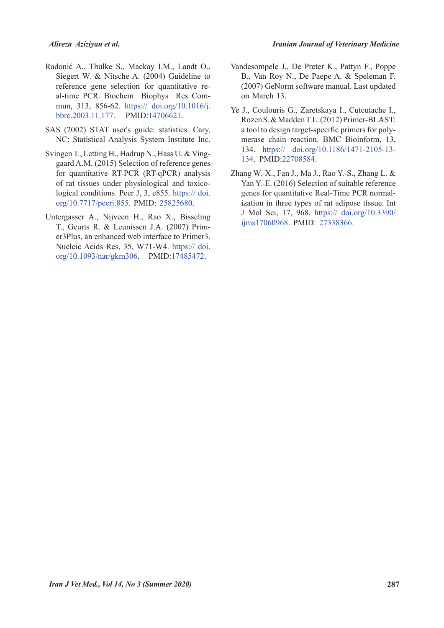- Radonić A., Thulke S., Mackay I.M., Landt O., Siegert W. & Nitsche A. (2004) Guideline to mun, 313, 856-62. https:// doi.org/10.1016/j. al-time PCR. Biochem .Biophys Res Comreference gene selection for quantitative rebbrc.2003.11.177. PMID:14706621.
- SAS (2002) STAT user's guide: statistics. Cary, NC: Statistical Analysis System Institute Inc.
- Svingen T., Letting H., Hadrup N., Hass U. & Ving-<br>gaard A.M. (2015) Selection of reference genes for quantitative RT-PCR (RT-qPCR) analysis logical conditions. Peer J, 3,  $e855$ . https://doi. of rat tissues under physiological and toxicoorg/10.7717/peerj.855. PMID: 25825680.
- Untergasser A., Nijveen H., Rao X., Bisseling er 3 Plus, an enhanced web interface to Primer 3. T., Geurts R. & Leunissen J.A. (2007) Prim-Nucleic Acids Res, 35, W71-W4. https:// doi. org/10.1093/nar/gkm306. PMID:17485472.
- Vandesompele J., De Preter K., Pattyn F., Poppe B., Van Roy N., De Paepe A. & Speleman F.  $(2007)$  GeNorm software manual. Last updated on March 13.
- Ye J., Coulouris G., Zaretskaya I., Cutcutache I., Rozen S. & Madden T.L. (2012) Primer-BLAST: merase chain reaction. BMC Bioinform, 13, a tool to design target-specific primers for poly-134. https:// doi.org/10.1186/1471-2105-13-134. PMID:22708584.
- Zhang W.-X., Fan J., Ma J., Rao Y.-S., Zhang L.  $&$ Yan Y.-E. (2016) Selection of suitable reference ization in three types of rat adipose tissue. Int genes for quantitative Real-Time PCR normal-J Mol Sci, 17, 968. https:// doi.org/10.3390/ ijms17060968. PMID: 27338366.